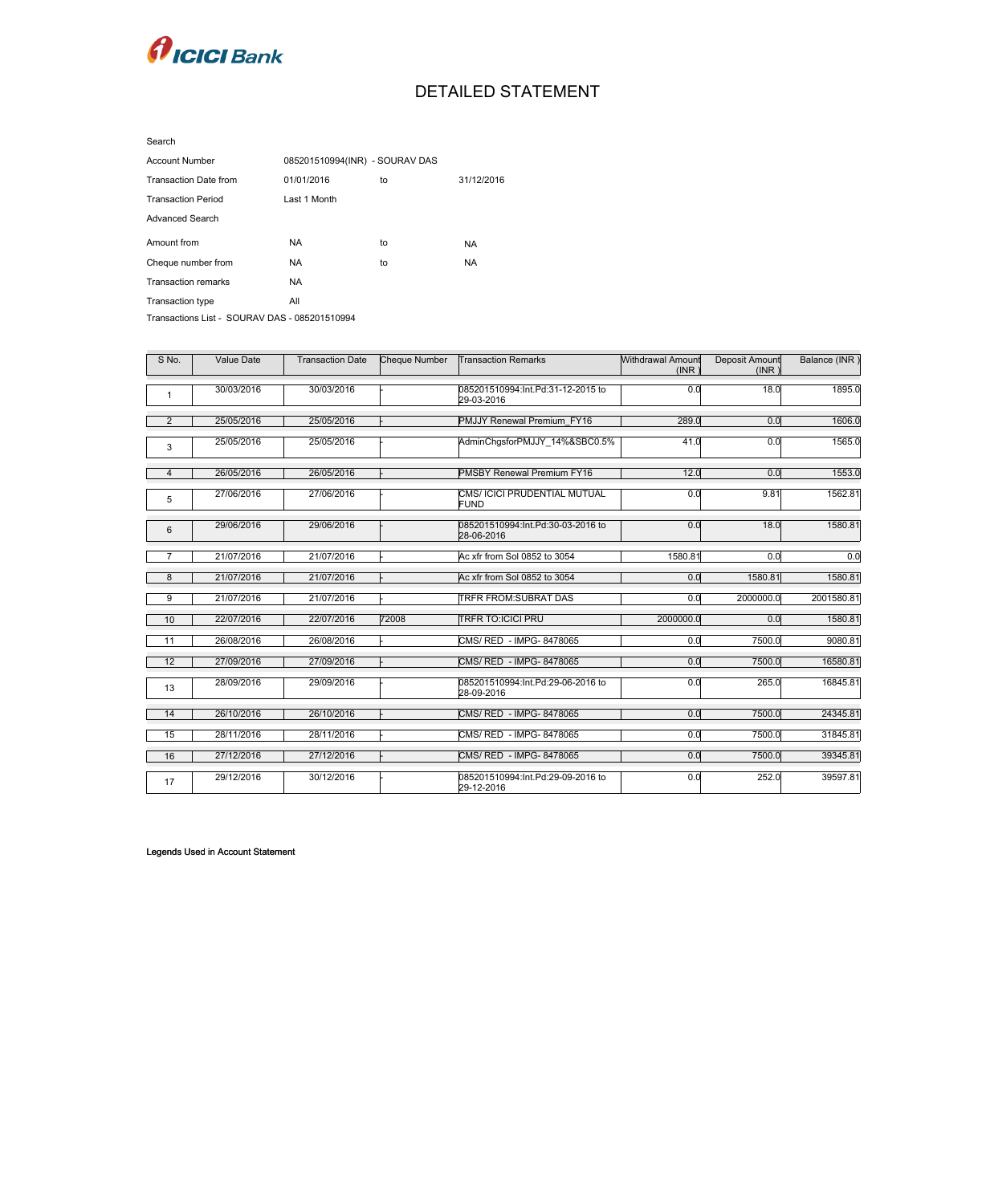

## DETAILED STATEMENT

| <b>Account Number</b>                         | 085201510994(INR) - SOURAV DAS |    |            |  |  |  |  |
|-----------------------------------------------|--------------------------------|----|------------|--|--|--|--|
| <b>Transaction Date from</b>                  | 01/01/2016                     | to | 31/12/2016 |  |  |  |  |
| <b>Transaction Period</b>                     | Last 1 Month                   |    |            |  |  |  |  |
| <b>Advanced Search</b>                        |                                |    |            |  |  |  |  |
| Amount from                                   | <b>NA</b>                      | to | NA.        |  |  |  |  |
| Cheque number from                            | NA.                            | to | NA.        |  |  |  |  |
| <b>Transaction remarks</b>                    | <b>NA</b>                      |    |            |  |  |  |  |
| Transaction type                              | All                            |    |            |  |  |  |  |
| Transactions List - SOURAV DAS - 085201510994 |                                |    |            |  |  |  |  |

| S No.          | Value Date | <b>Transaction Date</b> | Cheque Number | <b>Transaction Remarks</b>                      | Withdrawal Amount<br>(INR) | Deposit Amount<br>(INR) | Balance (INR) |
|----------------|------------|-------------------------|---------------|-------------------------------------------------|----------------------------|-------------------------|---------------|
| $\mathbf{1}$   | 30/03/2016 | 30/03/2016              |               | 085201510994:Int.Pd:31-12-2015 to<br>29-03-2016 | 0.0                        | 18.0                    | 1895.0        |
| $\overline{2}$ | 25/05/2016 | 25/05/2016              |               | PMJJY Renewal Premium FY16                      | 289.0                      | 0.0                     | 1606.0        |
| 3              | 25/05/2016 | 25/05/2016              |               | AdminChgsforPMJJY 14%&SBC0.5%                   | 41.0                       | 0.0                     | 1565.0        |
| $\overline{4}$ | 26/05/2016 | 26/05/2016              |               | <b>PMSBY Renewal Premium FY16</b>               | 12.0                       | 0.0                     | 1553.0        |
| 5              | 27/06/2016 | 27/06/2016              |               | CMS/ ICICI PRUDENTIAL MUTUAL<br><b>FUND</b>     | 0.0                        | 9.81                    | 1562.81       |
| $6\phantom{1}$ | 29/06/2016 | 29/06/2016              |               | 085201510994:Int.Pd:30-03-2016 to<br>28-06-2016 | 0.0                        | 18.0                    | 1580.81       |
| 7              | 21/07/2016 | 21/07/2016              |               | Ac xfr from Sol 0852 to 3054                    | 1580.81                    | 0.0                     | 0.0           |
| $\bf 8$        | 21/07/2016 | 21/07/2016              |               | Ac xfr from Sol 0852 to 3054                    | 0.0                        | 1580.81                 | 1580.81       |
| 9              | 21/07/2016 | 21/07/2016              |               | <b>TRFR FROM: SUBRAT DAS</b>                    | 0.0                        | 2000000.0               | 2001580.81    |
| 10             | 22/07/2016 | 22/07/2016              | 72008         | <b>TRFR TO:ICICI PRU</b>                        | 2000000.0                  | 0.0                     | 1580.81       |
| 11             | 26/08/2016 | 26/08/2016              |               | CMS/ RED - IMPG- 8478065                        | 0.0                        | 7500.0                  | 9080.81       |
| 12             | 27/09/2016 | 27/09/2016              |               | CMS/ RED - IMPG- 8478065                        | 0.0                        | 7500.0                  | 16580.81      |
| 13             | 28/09/2016 | 29/09/2016              |               | 085201510994:Int.Pd:29-06-2016 to<br>28-09-2016 | 0.0                        | 265.0                   | 16845.81      |
| 14             | 26/10/2016 | 26/10/2016              |               | CMS/ RED - IMPG- 8478065                        | 0.0                        | 7500.0                  | 24345.81      |
| 15             | 28/11/2016 | 28/11/2016              |               | CMS/ RED - IMPG- 8478065                        | 0.0                        | 7500.0                  | 31845.81      |
| 16             | 27/12/2016 | 27/12/2016              |               | CMS/ RED - IMPG- 8478065                        | 0.0                        | 7500.0                  | 39345.81      |
| 17             | 29/12/2016 | 30/12/2016              |               | 085201510994:Int.Pd:29-09-2016 to<br>29-12-2016 | 0.0                        | 252.0                   | 39597.81      |

Legends Used in Account Statement